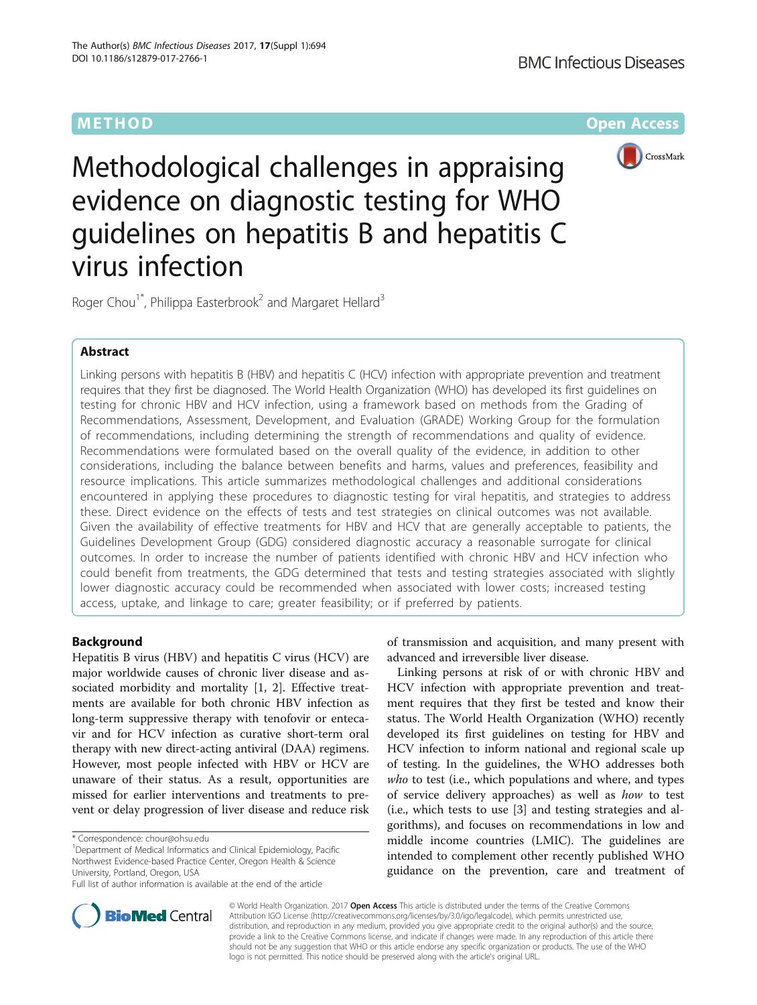**METHOD CONSUMING ACCESS CONSUMING ACCESS CONSUMING ACCESS** 



Methodological challenges in appraising evidence on diagnostic testing for WHO guidelines on hepatitis B and hepatitis C virus infection

Roger Chou<sup>1\*</sup>, Philippa Easterbrook<sup>2</sup> and Margaret Hellard<sup>3</sup>

# Abstract

Linking persons with hepatitis B (HBV) and hepatitis C (HCV) infection with appropriate prevention and treatment requires that they first be diagnosed. The World Health Organization (WHO) has developed its first guidelines on testing for chronic HBV and HCV infection, using a framework based on methods from the Grading of Recommendations, Assessment, Development, and Evaluation (GRADE) Working Group for the formulation of recommendations, including determining the strength of recommendations and quality of evidence. Recommendations were formulated based on the overall quality of the evidence, in addition to other considerations, including the balance between benefits and harms, values and preferences, feasibility and resource implications. This article summarizes methodological challenges and additional considerations encountered in applying these procedures to diagnostic testing for viral hepatitis, and strategies to address these. Direct evidence on the effects of tests and test strategies on clinical outcomes was not available. Given the availability of effective treatments for HBV and HCV that are generally acceptable to patients, the Guidelines Development Group (GDG) considered diagnostic accuracy a reasonable surrogate for clinical outcomes. In order to increase the number of patients identified with chronic HBV and HCV infection who could benefit from treatments, the GDG determined that tests and testing strategies associated with slightly lower diagnostic accuracy could be recommended when associated with lower costs; increased testing access, uptake, and linkage to care; greater feasibility; or if preferred by patients.

## Background

Hepatitis B virus (HBV) and hepatitis C virus (HCV) are major worldwide causes of chronic liver disease and associated morbidity and mortality [[1, 2](#page-8-0)]. Effective treatments are available for both chronic HBV infection as long-term suppressive therapy with tenofovir or entecavir and for HCV infection as curative short-term oral therapy with new direct-acting antiviral (DAA) regimens. However, most people infected with HBV or HCV are unaware of their status. As a result, opportunities are missed for earlier interventions and treatments to prevent or delay progression of liver disease and reduce risk

<sup>1</sup>Department of Medical Informatics and Clinical Epidemiology, Pacific Northwest Evidence-based Practice Center, Oregon Health & Science University, Portland, Oregon, USA

of transmission and acquisition, and many present with advanced and irreversible liver disease.

Linking persons at risk of or with chronic HBV and HCV infection with appropriate prevention and treatment requires that they first be tested and know their status. The World Health Organization (WHO) recently developed its first guidelines on testing for HBV and HCV infection to inform national and regional scale up of testing. In the guidelines, the WHO addresses both who to test (i.e., which populations and where, and types of service delivery approaches) as well as how to test (i.e., which tests to use [[3\]](#page-8-0) and testing strategies and algorithms), and focuses on recommendations in low and middle income countries (LMIC). The guidelines are intended to complement other recently published WHO guidance on the prevention, care and treatment of



© World Health Organization. 2017 Open Access This article is distributed under the terms of the Creative Commons Attribution IGO License [\(http://creativecommons.org/licenses/by/3.0/igo/legalcode](http://creativecommons.org/licenses/by/3.0/igo/legalcode)), which permits unrestricted use, distribution, and reproduction in any medium, provided you give appropriate credit to the original author(s) and the source, provide a link to the Creative Commons license, and indicate if changes were made. In any reproduction of this article there should not be any suggestion that WHO or this article endorse any specific organization or products. The use of the WHO logo is not permitted. This notice should be preserved along with the article's original URL.

<sup>\*</sup> Correspondence: [chour@ohsu.edu](mailto:chour@ohsu.edu) <sup>1</sup>

Full list of author information is available at the end of the article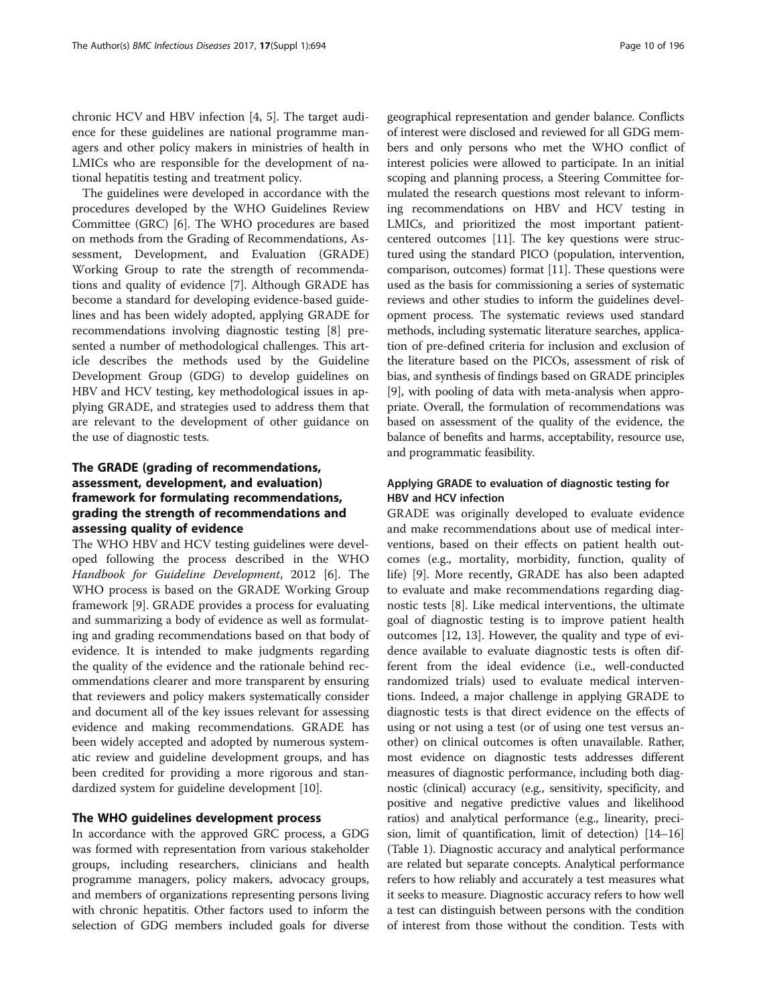chronic HCV and HBV infection [\[4](#page-8-0), [5\]](#page-8-0). The target audience for these guidelines are national programme managers and other policy makers in ministries of health in LMICs who are responsible for the development of national hepatitis testing and treatment policy.

The guidelines were developed in accordance with the procedures developed by the WHO Guidelines Review Committee (GRC) [[6](#page-8-0)]. The WHO procedures are based on methods from the Grading of Recommendations, Assessment, Development, and Evaluation (GRADE) Working Group to rate the strength of recommendations and quality of evidence [\[7\]](#page-8-0). Although GRADE has become a standard for developing evidence-based guidelines and has been widely adopted, applying GRADE for recommendations involving diagnostic testing [\[8](#page-8-0)] presented a number of methodological challenges. This article describes the methods used by the Guideline Development Group (GDG) to develop guidelines on HBV and HCV testing, key methodological issues in applying GRADE, and strategies used to address them that are relevant to the development of other guidance on the use of diagnostic tests.

# The GRADE (grading of recommendations, assessment, development, and evaluation) framework for formulating recommendations, grading the strength of recommendations and assessing quality of evidence

The WHO HBV and HCV testing guidelines were developed following the process described in the WHO Handbook for Guideline Development, 2012 [[6\]](#page-8-0). The WHO process is based on the GRADE Working Group framework [[9\]](#page-8-0). GRADE provides a process for evaluating and summarizing a body of evidence as well as formulating and grading recommendations based on that body of evidence. It is intended to make judgments regarding the quality of the evidence and the rationale behind recommendations clearer and more transparent by ensuring that reviewers and policy makers systematically consider and document all of the key issues relevant for assessing evidence and making recommendations. GRADE has been widely accepted and adopted by numerous systematic review and guideline development groups, and has been credited for providing a more rigorous and standardized system for guideline development [[10](#page-8-0)].

## The WHO guidelines development process

In accordance with the approved GRC process, a GDG was formed with representation from various stakeholder groups, including researchers, clinicians and health programme managers, policy makers, advocacy groups, and members of organizations representing persons living with chronic hepatitis. Other factors used to inform the selection of GDG members included goals for diverse

geographical representation and gender balance. Conflicts of interest were disclosed and reviewed for all GDG members and only persons who met the WHO conflict of interest policies were allowed to participate. In an initial scoping and planning process, a Steering Committee formulated the research questions most relevant to informing recommendations on HBV and HCV testing in LMICs, and prioritized the most important patientcentered outcomes [\[11](#page-8-0)]. The key questions were structured using the standard PICO (population, intervention, comparison, outcomes) format [\[11\]](#page-8-0). These questions were used as the basis for commissioning a series of systematic reviews and other studies to inform the guidelines development process. The systematic reviews used standard methods, including systematic literature searches, application of pre-defined criteria for inclusion and exclusion of the literature based on the PICOs, assessment of risk of bias, and synthesis of findings based on GRADE principles [[9\]](#page-8-0), with pooling of data with meta-analysis when appropriate. Overall, the formulation of recommendations was based on assessment of the quality of the evidence, the balance of benefits and harms, acceptability, resource use, and programmatic feasibility.

## Applying GRADE to evaluation of diagnostic testing for HBV and HCV infection

GRADE was originally developed to evaluate evidence and make recommendations about use of medical interventions, based on their effects on patient health outcomes (e.g., mortality, morbidity, function, quality of life) [[9\]](#page-8-0). More recently, GRADE has also been adapted to evaluate and make recommendations regarding diagnostic tests [\[8\]](#page-8-0). Like medical interventions, the ultimate goal of diagnostic testing is to improve patient health outcomes [[12, 13\]](#page-8-0). However, the quality and type of evidence available to evaluate diagnostic tests is often different from the ideal evidence (i.e., well-conducted randomized trials) used to evaluate medical interventions. Indeed, a major challenge in applying GRADE to diagnostic tests is that direct evidence on the effects of using or not using a test (or of using one test versus another) on clinical outcomes is often unavailable. Rather, most evidence on diagnostic tests addresses different measures of diagnostic performance, including both diagnostic (clinical) accuracy (e.g., sensitivity, specificity, and positive and negative predictive values and likelihood ratios) and analytical performance (e.g., linearity, precision, limit of quantification, limit of detection) [\[14](#page-9-0)–[16](#page-9-0)] (Table [1\)](#page-2-0). Diagnostic accuracy and analytical performance are related but separate concepts. Analytical performance refers to how reliably and accurately a test measures what it seeks to measure. Diagnostic accuracy refers to how well a test can distinguish between persons with the condition of interest from those without the condition. Tests with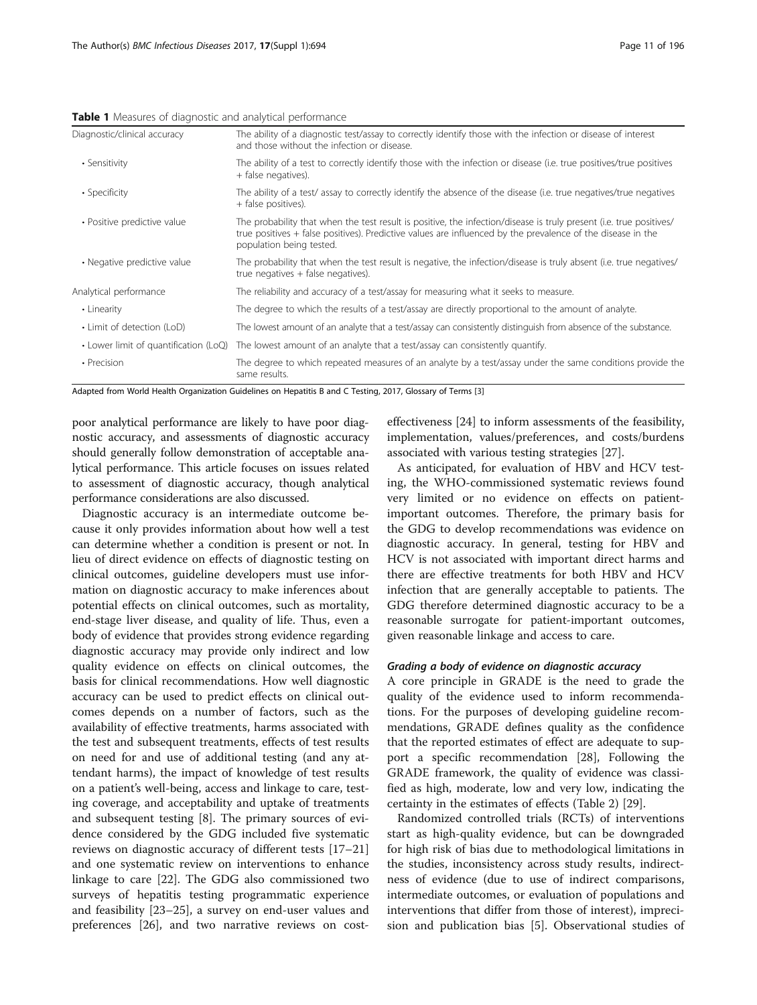<span id="page-2-0"></span>Table 1 Measures of diagnostic and analytical performance

| Diagnostic/clinical accuracy | The ability of a diagnostic test/assay to correctly identify those with the infection or disease of interest<br>and those without the infection or disease.                                                                                                    |
|------------------------------|----------------------------------------------------------------------------------------------------------------------------------------------------------------------------------------------------------------------------------------------------------------|
| • Sensitivity                | The ability of a test to correctly identify those with the infection or disease (i.e. true positives/true positives<br>+ false negatives).                                                                                                                     |
| • Specificity                | The ability of a test/ assay to correctly identify the absence of the disease (i.e. true negatives/true negatives<br>+ false positives).                                                                                                                       |
| • Positive predictive value  | The probability that when the test result is positive, the infection/disease is truly present (i.e. true positives/<br>true positives + false positives). Predictive values are influenced by the prevalence of the disease in the<br>population being tested. |
| • Negative predictive value  | The probability that when the test result is negative, the infection/disease is truly absent (i.e. true negatives/<br>true negatives + false negatives).                                                                                                       |
| Analytical performance       | The reliability and accuracy of a test/assay for measuring what it seeks to measure.                                                                                                                                                                           |
| • Linearity                  | The degree to which the results of a test/assay are directly proportional to the amount of analyte.                                                                                                                                                            |
| • Limit of detection (LoD)   | The lowest amount of an analyte that a test/assay can consistently distinguish from absence of the substance.                                                                                                                                                  |
|                              | • Lower limit of quantification (LoQ) The lowest amount of an analyte that a test/assay can consistently quantify.                                                                                                                                             |
| • Precision                  | The degree to which repeated measures of an analyte by a test/assay under the same conditions provide the<br>same results.                                                                                                                                     |

Adapted from World Health Organization Guidelines on Hepatitis B and C Testing, 2017, Glossary of Terms [[3](#page-8-0)]

poor analytical performance are likely to have poor diagnostic accuracy, and assessments of diagnostic accuracy should generally follow demonstration of acceptable analytical performance. This article focuses on issues related to assessment of diagnostic accuracy, though analytical performance considerations are also discussed.

Diagnostic accuracy is an intermediate outcome because it only provides information about how well a test can determine whether a condition is present or not. In lieu of direct evidence on effects of diagnostic testing on clinical outcomes, guideline developers must use information on diagnostic accuracy to make inferences about potential effects on clinical outcomes, such as mortality, end-stage liver disease, and quality of life. Thus, even a body of evidence that provides strong evidence regarding diagnostic accuracy may provide only indirect and low quality evidence on effects on clinical outcomes, the basis for clinical recommendations. How well diagnostic accuracy can be used to predict effects on clinical outcomes depends on a number of factors, such as the availability of effective treatments, harms associated with the test and subsequent treatments, effects of test results on need for and use of additional testing (and any attendant harms), the impact of knowledge of test results on a patient's well-being, access and linkage to care, testing coverage, and acceptability and uptake of treatments and subsequent testing [\[8](#page-8-0)]. The primary sources of evidence considered by the GDG included five systematic reviews on diagnostic accuracy of different tests [[17](#page-9-0)–[21](#page-9-0)] and one systematic review on interventions to enhance linkage to care [[22\]](#page-9-0). The GDG also commissioned two surveys of hepatitis testing programmatic experience and feasibility [[23](#page-9-0)–[25](#page-9-0)], a survey on end-user values and preferences [\[26](#page-9-0)], and two narrative reviews on cost-

effectiveness [[24\]](#page-9-0) to inform assessments of the feasibility, implementation, values/preferences, and costs/burdens associated with various testing strategies [\[27](#page-9-0)].

As anticipated, for evaluation of HBV and HCV testing, the WHO-commissioned systematic reviews found very limited or no evidence on effects on patientimportant outcomes. Therefore, the primary basis for the GDG to develop recommendations was evidence on diagnostic accuracy. In general, testing for HBV and HCV is not associated with important direct harms and there are effective treatments for both HBV and HCV infection that are generally acceptable to patients. The GDG therefore determined diagnostic accuracy to be a reasonable surrogate for patient-important outcomes, given reasonable linkage and access to care.

#### Grading a body of evidence on diagnostic accuracy

A core principle in GRADE is the need to grade the quality of the evidence used to inform recommendations. For the purposes of developing guideline recommendations, GRADE defines quality as the confidence that the reported estimates of effect are adequate to support a specific recommendation [[28\]](#page-9-0), Following the GRADE framework, the quality of evidence was classified as high, moderate, low and very low, indicating the certainty in the estimates of effects (Table [2\)](#page-3-0) [\[29\]](#page-9-0).

Randomized controlled trials (RCTs) of interventions start as high-quality evidence, but can be downgraded for high risk of bias due to methodological limitations in the studies, inconsistency across study results, indirectness of evidence (due to use of indirect comparisons, intermediate outcomes, or evaluation of populations and interventions that differ from those of interest), imprecision and publication bias [[5\]](#page-8-0). Observational studies of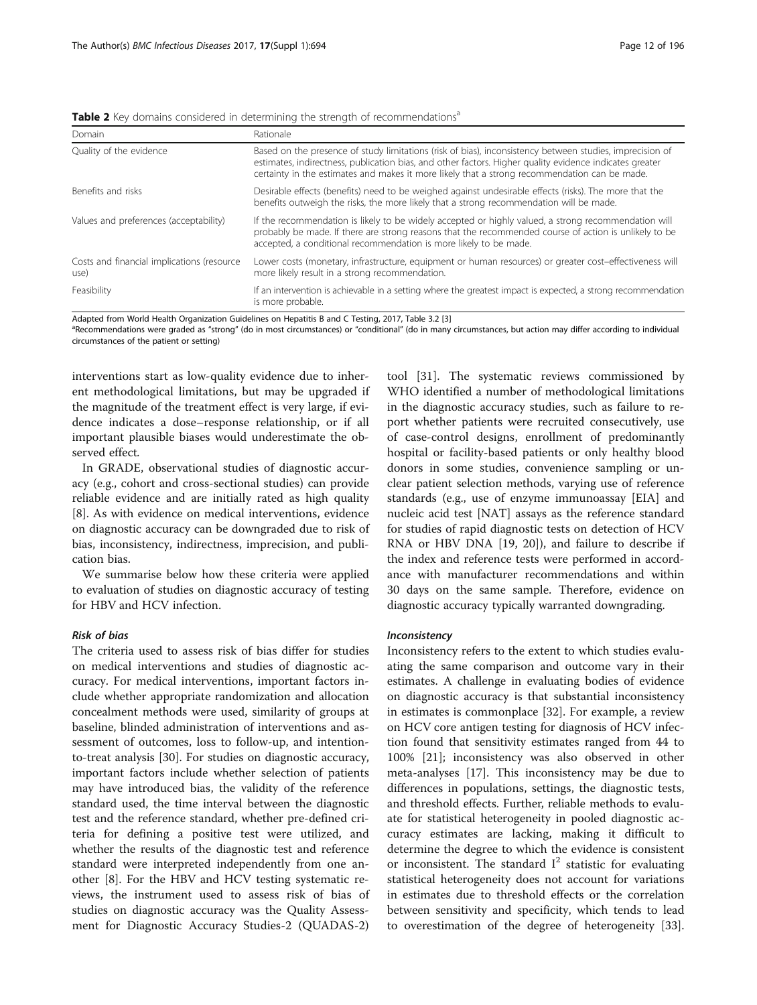<span id="page-3-0"></span>Table 2 Key domains considered in determining the strength of recommendations<sup>a</sup>

| Domain                                             | Rationale                                                                                                                                                                                                                                                                                                            |
|----------------------------------------------------|----------------------------------------------------------------------------------------------------------------------------------------------------------------------------------------------------------------------------------------------------------------------------------------------------------------------|
| Quality of the evidence                            | Based on the presence of study limitations (risk of bias), inconsistency between studies, imprecision of<br>estimates, indirectness, publication bias, and other factors. Higher quality evidence indicates greater<br>certainty in the estimates and makes it more likely that a strong recommendation can be made. |
| Benefits and risks                                 | Desirable effects (benefits) need to be weighed against undesirable effects (risks). The more that the<br>benefits outweigh the risks, the more likely that a strong recommendation will be made.                                                                                                                    |
| Values and preferences (acceptability)             | If the recommendation is likely to be widely accepted or highly valued, a strong recommendation will<br>probably be made. If there are strong reasons that the recommended course of action is unlikely to be<br>accepted, a conditional recommendation is more likely to be made.                                   |
| Costs and financial implications (resource<br>use) | Lower costs (monetary, infrastructure, equipment or human resources) or greater cost-effectiveness will<br>more likely result in a strong recommendation.                                                                                                                                                            |
| Feasibility                                        | If an intervention is achievable in a setting where the greatest impact is expected, a strong recommendation<br>is more probable.                                                                                                                                                                                    |

Adapted from World Health Organization Guidelines on Hepatitis B and C Testing, 2017, Table [3](#page-8-0).2 [3]

<sup>a</sup>Recommendations were graded as "strong" (do in most circumstances) or "conditional" (do in many circumstances, but action may differ according to individual circumstances of the patient or setting)

interventions start as low-quality evidence due to inherent methodological limitations, but may be upgraded if the magnitude of the treatment effect is very large, if evidence indicates a dose–response relationship, or if all important plausible biases would underestimate the observed effect.

In GRADE, observational studies of diagnostic accuracy (e.g., cohort and cross-sectional studies) can provide reliable evidence and are initially rated as high quality [[8\]](#page-8-0). As with evidence on medical interventions, evidence on diagnostic accuracy can be downgraded due to risk of bias, inconsistency, indirectness, imprecision, and publication bias.

We summarise below how these criteria were applied to evaluation of studies on diagnostic accuracy of testing for HBV and HCV infection.

## Risk of bias

The criteria used to assess risk of bias differ for studies on medical interventions and studies of diagnostic accuracy. For medical interventions, important factors include whether appropriate randomization and allocation concealment methods were used, similarity of groups at baseline, blinded administration of interventions and assessment of outcomes, loss to follow-up, and intentionto-treat analysis [\[30\]](#page-9-0). For studies on diagnostic accuracy, important factors include whether selection of patients may have introduced bias, the validity of the reference standard used, the time interval between the diagnostic test and the reference standard, whether pre-defined criteria for defining a positive test were utilized, and whether the results of the diagnostic test and reference standard were interpreted independently from one another [\[8](#page-8-0)]. For the HBV and HCV testing systematic reviews, the instrument used to assess risk of bias of studies on diagnostic accuracy was the Quality Assessment for Diagnostic Accuracy Studies-2 (QUADAS-2) tool [[31\]](#page-9-0). The systematic reviews commissioned by WHO identified a number of methodological limitations in the diagnostic accuracy studies, such as failure to report whether patients were recruited consecutively, use of case-control designs, enrollment of predominantly hospital or facility-based patients or only healthy blood donors in some studies, convenience sampling or unclear patient selection methods, varying use of reference standards (e.g., use of enzyme immunoassay [EIA] and nucleic acid test [NAT] assays as the reference standard for studies of rapid diagnostic tests on detection of HCV RNA or HBV DNA [\[19](#page-9-0), [20](#page-9-0)]), and failure to describe if the index and reference tests were performed in accordance with manufacturer recommendations and within 30 days on the same sample. Therefore, evidence on diagnostic accuracy typically warranted downgrading.

## Inconsistency

Inconsistency refers to the extent to which studies evaluating the same comparison and outcome vary in their estimates. A challenge in evaluating bodies of evidence on diagnostic accuracy is that substantial inconsistency in estimates is commonplace [[32\]](#page-9-0). For example, a review on HCV core antigen testing for diagnosis of HCV infection found that sensitivity estimates ranged from 44 to 100% [\[21](#page-9-0)]; inconsistency was also observed in other meta-analyses [[17\]](#page-9-0). This inconsistency may be due to differences in populations, settings, the diagnostic tests, and threshold effects. Further, reliable methods to evaluate for statistical heterogeneity in pooled diagnostic accuracy estimates are lacking, making it difficult to determine the degree to which the evidence is consistent or inconsistent. The standard  $I^2$  statistic for evaluating statistical heterogeneity does not account for variations in estimates due to threshold effects or the correlation between sensitivity and specificity, which tends to lead to overestimation of the degree of heterogeneity [\[33](#page-9-0)].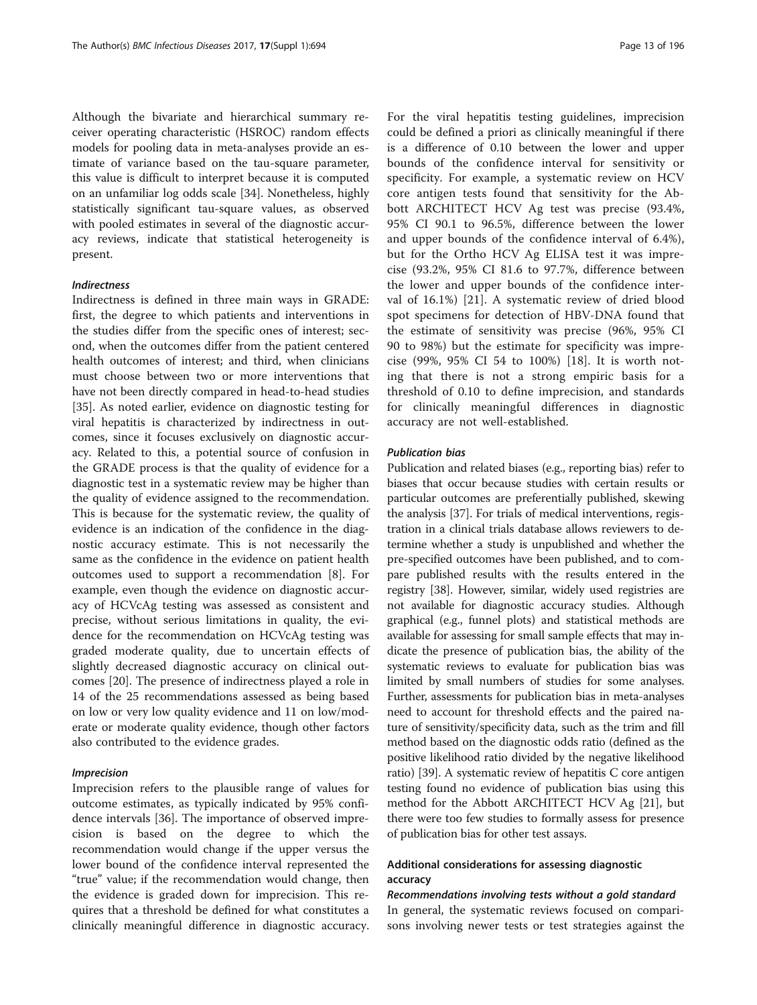Although the bivariate and hierarchical summary receiver operating characteristic (HSROC) random effects models for pooling data in meta-analyses provide an estimate of variance based on the tau-square parameter, this value is difficult to interpret because it is computed on an unfamiliar log odds scale [\[34\]](#page-9-0). Nonetheless, highly statistically significant tau-square values, as observed with pooled estimates in several of the diagnostic accuracy reviews, indicate that statistical heterogeneity is present.

## Indirectness

Indirectness is defined in three main ways in GRADE: first, the degree to which patients and interventions in the studies differ from the specific ones of interest; second, when the outcomes differ from the patient centered health outcomes of interest; and third, when clinicians must choose between two or more interventions that have not been directly compared in head-to-head studies [[35\]](#page-9-0). As noted earlier, evidence on diagnostic testing for viral hepatitis is characterized by indirectness in outcomes, since it focuses exclusively on diagnostic accuracy. Related to this, a potential source of confusion in the GRADE process is that the quality of evidence for a diagnostic test in a systematic review may be higher than the quality of evidence assigned to the recommendation. This is because for the systematic review, the quality of evidence is an indication of the confidence in the diagnostic accuracy estimate. This is not necessarily the same as the confidence in the evidence on patient health outcomes used to support a recommendation [\[8](#page-8-0)]. For example, even though the evidence on diagnostic accuracy of HCVcAg testing was assessed as consistent and precise, without serious limitations in quality, the evidence for the recommendation on HCVcAg testing was graded moderate quality, due to uncertain effects of slightly decreased diagnostic accuracy on clinical outcomes [[20\]](#page-9-0). The presence of indirectness played a role in 14 of the 25 recommendations assessed as being based on low or very low quality evidence and 11 on low/moderate or moderate quality evidence, though other factors also contributed to the evidence grades.

## Imprecision

Imprecision refers to the plausible range of values for outcome estimates, as typically indicated by 95% confidence intervals [[36\]](#page-9-0). The importance of observed imprecision is based on the degree to which the recommendation would change if the upper versus the lower bound of the confidence interval represented the "true" value; if the recommendation would change, then the evidence is graded down for imprecision. This requires that a threshold be defined for what constitutes a clinically meaningful difference in diagnostic accuracy.

For the viral hepatitis testing guidelines, imprecision could be defined a priori as clinically meaningful if there is a difference of 0.10 between the lower and upper bounds of the confidence interval for sensitivity or specificity. For example, a systematic review on HCV core antigen tests found that sensitivity for the Abbott ARCHITECT HCV Ag test was precise (93.4%, 95% CI 90.1 to 96.5%, difference between the lower and upper bounds of the confidence interval of 6.4%), but for the Ortho HCV Ag ELISA test it was imprecise (93.2%, 95% CI 81.6 to 97.7%, difference between the lower and upper bounds of the confidence interval of 16.1%) [[21\]](#page-9-0). A systematic review of dried blood spot specimens for detection of HBV-DNA found that the estimate of sensitivity was precise (96%, 95% CI 90 to 98%) but the estimate for specificity was imprecise (99%, 95% CI 54 to 100%) [\[18](#page-9-0)]. It is worth noting that there is not a strong empiric basis for a threshold of 0.10 to define imprecision, and standards for clinically meaningful differences in diagnostic accuracy are not well-established.

## Publication bias

Publication and related biases (e.g., reporting bias) refer to biases that occur because studies with certain results or particular outcomes are preferentially published, skewing the analysis [[37](#page-9-0)]. For trials of medical interventions, registration in a clinical trials database allows reviewers to determine whether a study is unpublished and whether the pre-specified outcomes have been published, and to compare published results with the results entered in the registry [[38](#page-9-0)]. However, similar, widely used registries are not available for diagnostic accuracy studies. Although graphical (e.g., funnel plots) and statistical methods are available for assessing for small sample effects that may indicate the presence of publication bias, the ability of the systematic reviews to evaluate for publication bias was limited by small numbers of studies for some analyses. Further, assessments for publication bias in meta-analyses need to account for threshold effects and the paired nature of sensitivity/specificity data, such as the trim and fill method based on the diagnostic odds ratio (defined as the positive likelihood ratio divided by the negative likelihood ratio) [\[39\]](#page-9-0). A systematic review of hepatitis C core antigen testing found no evidence of publication bias using this method for the Abbott ARCHITECT HCV Ag [\[21\]](#page-9-0), but there were too few studies to formally assess for presence of publication bias for other test assays.

## Additional considerations for assessing diagnostic accuracy

Recommendations involving tests without a gold standard In general, the systematic reviews focused on comparisons involving newer tests or test strategies against the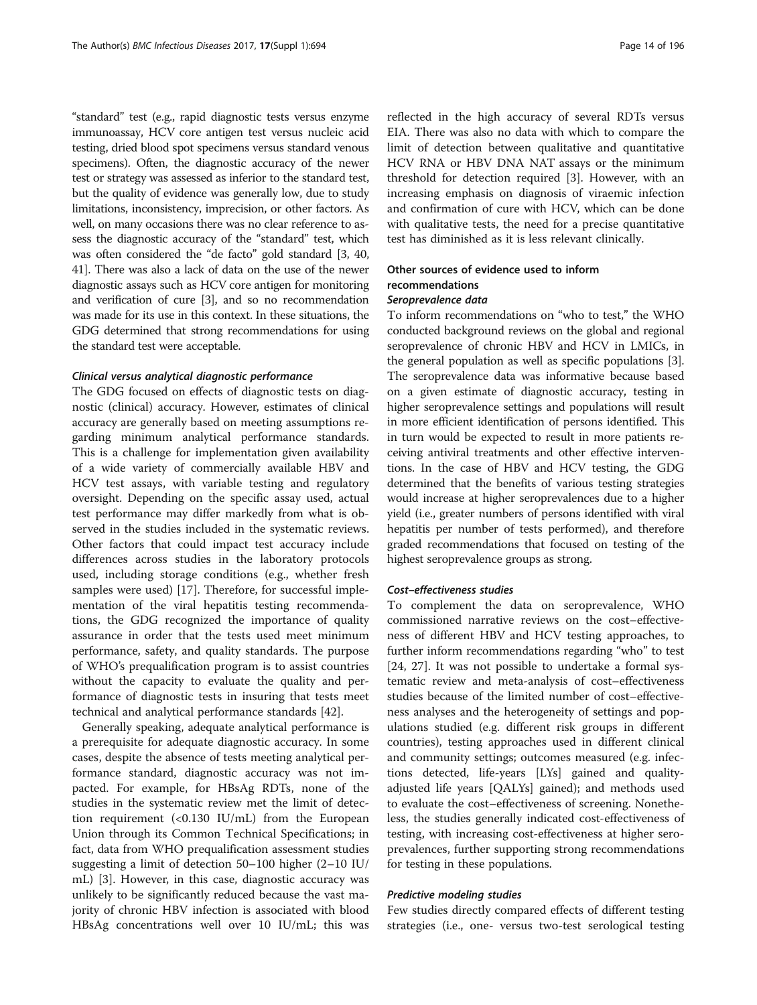"standard" test (e.g., rapid diagnostic tests versus enzyme immunoassay, HCV core antigen test versus nucleic acid testing, dried blood spot specimens versus standard venous specimens). Often, the diagnostic accuracy of the newer test or strategy was assessed as inferior to the standard test, but the quality of evidence was generally low, due to study limitations, inconsistency, imprecision, or other factors. As well, on many occasions there was no clear reference to assess the diagnostic accuracy of the "standard" test, which was often considered the "de facto" gold standard [\[3,](#page-8-0) [40](#page-9-0), [41](#page-9-0)]. There was also a lack of data on the use of the newer diagnostic assays such as HCV core antigen for monitoring and verification of cure [\[3](#page-8-0)], and so no recommendation was made for its use in this context. In these situations, the GDG determined that strong recommendations for using the standard test were acceptable.

## Clinical versus analytical diagnostic performance

The GDG focused on effects of diagnostic tests on diagnostic (clinical) accuracy. However, estimates of clinical accuracy are generally based on meeting assumptions regarding minimum analytical performance standards. This is a challenge for implementation given availability of a wide variety of commercially available HBV and HCV test assays, with variable testing and regulatory oversight. Depending on the specific assay used, actual test performance may differ markedly from what is observed in the studies included in the systematic reviews. Other factors that could impact test accuracy include differences across studies in the laboratory protocols used, including storage conditions (e.g., whether fresh samples were used) [\[17](#page-9-0)]. Therefore, for successful implementation of the viral hepatitis testing recommendations, the GDG recognized the importance of quality assurance in order that the tests used meet minimum performance, safety, and quality standards. The purpose of WHO's prequalification program is to assist countries without the capacity to evaluate the quality and performance of diagnostic tests in insuring that tests meet technical and analytical performance standards [\[42](#page-9-0)].

Generally speaking, adequate analytical performance is a prerequisite for adequate diagnostic accuracy. In some cases, despite the absence of tests meeting analytical performance standard, diagnostic accuracy was not impacted. For example, for HBsAg RDTs, none of the studies in the systematic review met the limit of detection requirement (<0.130 IU/mL) from the European Union through its Common Technical Specifications; in fact, data from WHO prequalification assessment studies suggesting a limit of detection 50–100 higher (2–10 IU/ mL) [[3\]](#page-8-0). However, in this case, diagnostic accuracy was unlikely to be significantly reduced because the vast majority of chronic HBV infection is associated with blood HBsAg concentrations well over 10 IU/mL; this was

reflected in the high accuracy of several RDTs versus EIA. There was also no data with which to compare the limit of detection between qualitative and quantitative HCV RNA or HBV DNA NAT assays or the minimum threshold for detection required [[3\]](#page-8-0). However, with an increasing emphasis on diagnosis of viraemic infection and confirmation of cure with HCV, which can be done with qualitative tests, the need for a precise quantitative test has diminished as it is less relevant clinically.

# Other sources of evidence used to inform recommendations

## Seroprevalence data

To inform recommendations on "who to test," the WHO conducted background reviews on the global and regional seroprevalence of chronic HBV and HCV in LMICs, in the general population as well as specific populations [[3](#page-8-0)]. The seroprevalence data was informative because based on a given estimate of diagnostic accuracy, testing in higher seroprevalence settings and populations will result in more efficient identification of persons identified. This in turn would be expected to result in more patients receiving antiviral treatments and other effective interventions. In the case of HBV and HCV testing, the GDG determined that the benefits of various testing strategies would increase at higher seroprevalences due to a higher yield (i.e., greater numbers of persons identified with viral hepatitis per number of tests performed), and therefore graded recommendations that focused on testing of the highest seroprevalence groups as strong.

## Cost–effectiveness studies

To complement the data on seroprevalence, WHO commissioned narrative reviews on the cost–effectiveness of different HBV and HCV testing approaches, to further inform recommendations regarding "who" to test [[24, 27\]](#page-9-0). It was not possible to undertake a formal systematic review and meta-analysis of cost–effectiveness studies because of the limited number of cost–effectiveness analyses and the heterogeneity of settings and populations studied (e.g. different risk groups in different countries), testing approaches used in different clinical and community settings; outcomes measured (e.g. infections detected, life-years [LYs] gained and qualityadjusted life years [QALYs] gained); and methods used to evaluate the cost–effectiveness of screening. Nonetheless, the studies generally indicated cost-effectiveness of testing, with increasing cost-effectiveness at higher seroprevalences, further supporting strong recommendations for testing in these populations.

## Predictive modeling studies

Few studies directly compared effects of different testing strategies (i.e., one- versus two-test serological testing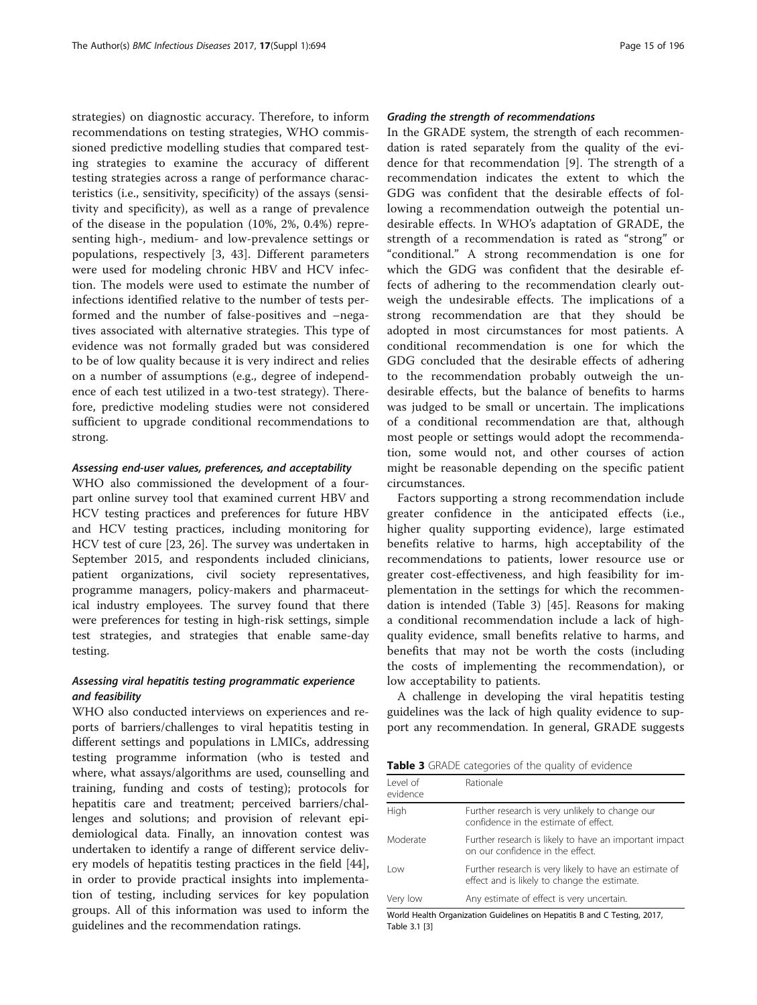strategies) on diagnostic accuracy. Therefore, to inform recommendations on testing strategies, WHO commissioned predictive modelling studies that compared testing strategies to examine the accuracy of different testing strategies across a range of performance characteristics (i.e., sensitivity, specificity) of the assays (sensitivity and specificity), as well as a range of prevalence of the disease in the population (10%, 2%, 0.4%) representing high-, medium- and low-prevalence settings or populations, respectively [[3,](#page-8-0) [43\]](#page-9-0). Different parameters were used for modeling chronic HBV and HCV infection. The models were used to estimate the number of infections identified relative to the number of tests performed and the number of false-positives and –negatives associated with alternative strategies. This type of evidence was not formally graded but was considered to be of low quality because it is very indirect and relies on a number of assumptions (e.g., degree of independence of each test utilized in a two-test strategy). Therefore, predictive modeling studies were not considered sufficient to upgrade conditional recommendations to strong.

## Assessing end-user values, preferences, and acceptability

WHO also commissioned the development of a fourpart online survey tool that examined current HBV and HCV testing practices and preferences for future HBV and HCV testing practices, including monitoring for HCV test of cure [\[23](#page-9-0), [26](#page-9-0)]. The survey was undertaken in September 2015, and respondents included clinicians, patient organizations, civil society representatives, programme managers, policy-makers and pharmaceutical industry employees. The survey found that there were preferences for testing in high-risk settings, simple test strategies, and strategies that enable same-day testing.

## Assessing viral hepatitis testing programmatic experience and feasibility

WHO also conducted interviews on experiences and reports of barriers/challenges to viral hepatitis testing in different settings and populations in LMICs, addressing testing programme information (who is tested and where, what assays/algorithms are used, counselling and training, funding and costs of testing); protocols for hepatitis care and treatment; perceived barriers/challenges and solutions; and provision of relevant epidemiological data. Finally, an innovation contest was undertaken to identify a range of different service delivery models of hepatitis testing practices in the field [\[44](#page-9-0)], in order to provide practical insights into implementation of testing, including services for key population groups. All of this information was used to inform the guidelines and the recommendation ratings.

## Grading the strength of recommendations

In the GRADE system, the strength of each recommendation is rated separately from the quality of the evidence for that recommendation [\[9](#page-8-0)]. The strength of a recommendation indicates the extent to which the GDG was confident that the desirable effects of following a recommendation outweigh the potential undesirable effects. In WHO's adaptation of GRADE, the strength of a recommendation is rated as "strong" or "conditional." A strong recommendation is one for which the GDG was confident that the desirable effects of adhering to the recommendation clearly outweigh the undesirable effects. The implications of a strong recommendation are that they should be adopted in most circumstances for most patients. A conditional recommendation is one for which the GDG concluded that the desirable effects of adhering to the recommendation probably outweigh the undesirable effects, but the balance of benefits to harms was judged to be small or uncertain. The implications of a conditional recommendation are that, although most people or settings would adopt the recommendation, some would not, and other courses of action might be reasonable depending on the specific patient circumstances.

Factors supporting a strong recommendation include greater confidence in the anticipated effects (i.e., higher quality supporting evidence), large estimated benefits relative to harms, high acceptability of the recommendations to patients, lower resource use or greater cost-effectiveness, and high feasibility for implementation in the settings for which the recommendation is intended (Table 3) [[45\]](#page-9-0). Reasons for making a conditional recommendation include a lack of highquality evidence, small benefits relative to harms, and benefits that may not be worth the costs (including the costs of implementing the recommendation), or low acceptability to patients.

A challenge in developing the viral hepatitis testing guidelines was the lack of high quality evidence to support any recommendation. In general, GRADE suggests

**Table 3** GRADE categories of the quality of evidence

| Level of<br>evidence | Rationale                                                                                              |
|----------------------|--------------------------------------------------------------------------------------------------------|
| High                 | Further research is very unlikely to change our<br>confidence in the estimate of effect.               |
| Moderate             | Further research is likely to have an important impact<br>on our confidence in the effect.             |
| l ow                 | Further research is very likely to have an estimate of<br>effect and is likely to change the estimate. |
| Very low             | Any estimate of effect is very uncertain.                                                              |
|                      | World Health Organization Guidelines on Hepatitis B and C Testing, 2017.                               |

World Health Organization Guidelines on Hepatitis B and C Testing, 2017, Table 3.1 [\[3\]](#page-8-0)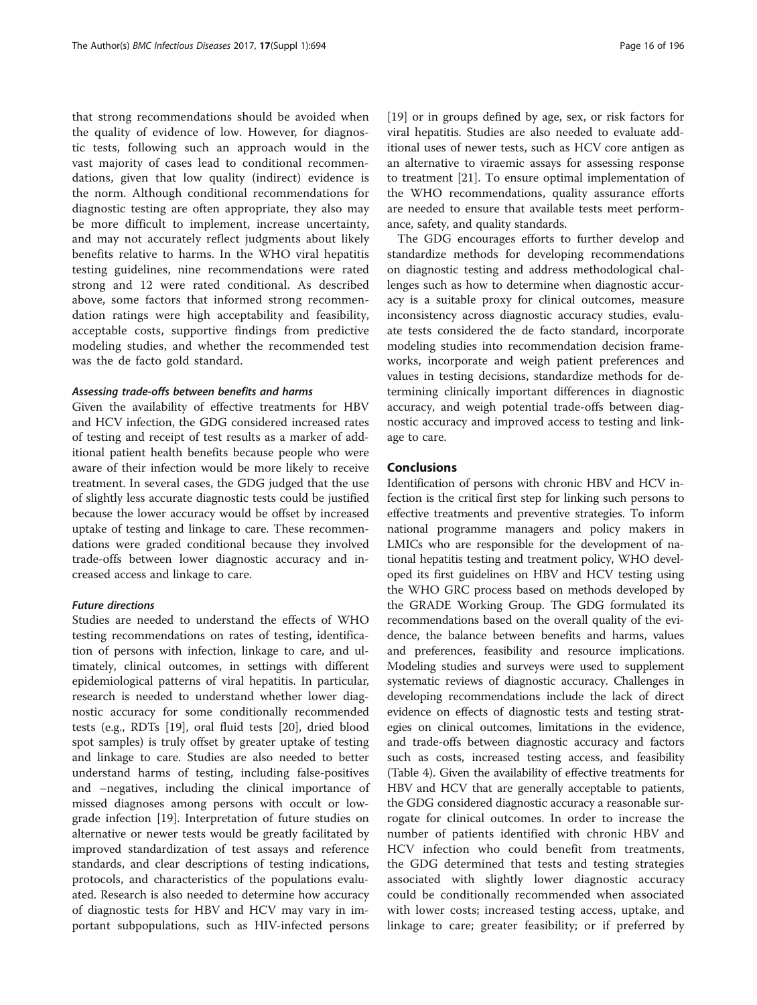that strong recommendations should be avoided when the quality of evidence of low. However, for diagnostic tests, following such an approach would in the vast majority of cases lead to conditional recommendations, given that low quality (indirect) evidence is the norm. Although conditional recommendations for diagnostic testing are often appropriate, they also may be more difficult to implement, increase uncertainty, and may not accurately reflect judgments about likely benefits relative to harms. In the WHO viral hepatitis testing guidelines, nine recommendations were rated strong and 12 were rated conditional. As described above, some factors that informed strong recommendation ratings were high acceptability and feasibility, acceptable costs, supportive findings from predictive modeling studies, and whether the recommended test was the de facto gold standard.

#### Assessing trade-offs between benefits and harms

Given the availability of effective treatments for HBV and HCV infection, the GDG considered increased rates of testing and receipt of test results as a marker of additional patient health benefits because people who were aware of their infection would be more likely to receive treatment. In several cases, the GDG judged that the use of slightly less accurate diagnostic tests could be justified because the lower accuracy would be offset by increased uptake of testing and linkage to care. These recommendations were graded conditional because they involved trade-offs between lower diagnostic accuracy and increased access and linkage to care.

## Future directions

Studies are needed to understand the effects of WHO testing recommendations on rates of testing, identification of persons with infection, linkage to care, and ultimately, clinical outcomes, in settings with different epidemiological patterns of viral hepatitis. In particular, research is needed to understand whether lower diagnostic accuracy for some conditionally recommended tests (e.g., RDTs [\[19](#page-9-0)], oral fluid tests [\[20](#page-9-0)], dried blood spot samples) is truly offset by greater uptake of testing and linkage to care. Studies are also needed to better understand harms of testing, including false-positives and –negatives, including the clinical importance of missed diagnoses among persons with occult or lowgrade infection [\[19](#page-9-0)]. Interpretation of future studies on alternative or newer tests would be greatly facilitated by improved standardization of test assays and reference standards, and clear descriptions of testing indications, protocols, and characteristics of the populations evaluated. Research is also needed to determine how accuracy of diagnostic tests for HBV and HCV may vary in important subpopulations, such as HIV-infected persons

[[19\]](#page-9-0) or in groups defined by age, sex, or risk factors for viral hepatitis. Studies are also needed to evaluate additional uses of newer tests, such as HCV core antigen as an alternative to viraemic assays for assessing response to treatment [\[21\]](#page-9-0). To ensure optimal implementation of the WHO recommendations, quality assurance efforts are needed to ensure that available tests meet performance, safety, and quality standards.

The GDG encourages efforts to further develop and standardize methods for developing recommendations on diagnostic testing and address methodological challenges such as how to determine when diagnostic accuracy is a suitable proxy for clinical outcomes, measure inconsistency across diagnostic accuracy studies, evaluate tests considered the de facto standard, incorporate modeling studies into recommendation decision frameworks, incorporate and weigh patient preferences and values in testing decisions, standardize methods for determining clinically important differences in diagnostic accuracy, and weigh potential trade-offs between diagnostic accuracy and improved access to testing and linkage to care.

## Conclusions

Identification of persons with chronic HBV and HCV infection is the critical first step for linking such persons to effective treatments and preventive strategies. To inform national programme managers and policy makers in LMICs who are responsible for the development of national hepatitis testing and treatment policy, WHO developed its first guidelines on HBV and HCV testing using the WHO GRC process based on methods developed by the GRADE Working Group. The GDG formulated its recommendations based on the overall quality of the evidence, the balance between benefits and harms, values and preferences, feasibility and resource implications. Modeling studies and surveys were used to supplement systematic reviews of diagnostic accuracy. Challenges in developing recommendations include the lack of direct evidence on effects of diagnostic tests and testing strategies on clinical outcomes, limitations in the evidence, and trade-offs between diagnostic accuracy and factors such as costs, increased testing access, and feasibility (Table [4\)](#page-8-0). Given the availability of effective treatments for HBV and HCV that are generally acceptable to patients, the GDG considered diagnostic accuracy a reasonable surrogate for clinical outcomes. In order to increase the number of patients identified with chronic HBV and HCV infection who could benefit from treatments, the GDG determined that tests and testing strategies associated with slightly lower diagnostic accuracy could be conditionally recommended when associated with lower costs; increased testing access, uptake, and linkage to care; greater feasibility; or if preferred by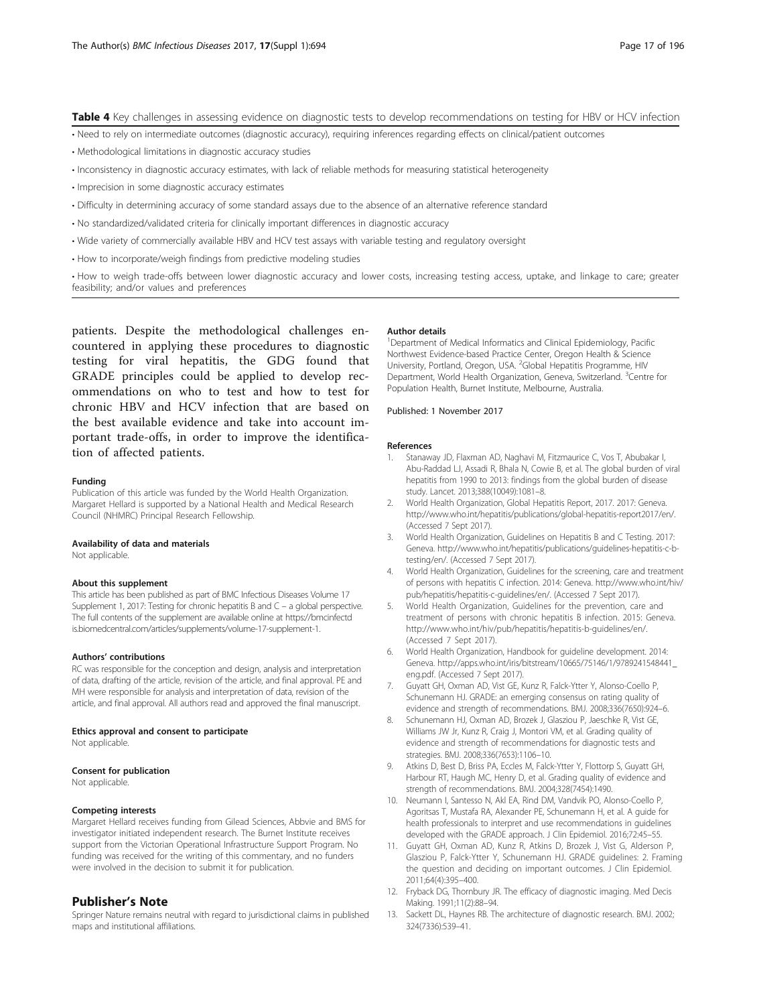<span id="page-8-0"></span>Table 4 Key challenges in assessing evidence on diagnostic tests to develop recommendations on testing for HBV or HCV infection

- Need to rely on intermediate outcomes (diagnostic accuracy), requiring inferences regarding effects on clinical/patient outcomes
- Methodological limitations in diagnostic accuracy studies
- Inconsistency in diagnostic accuracy estimates, with lack of reliable methods for measuring statistical heterogeneity
- Imprecision in some diagnostic accuracy estimates
- Difficulty in determining accuracy of some standard assays due to the absence of an alternative reference standard
- No standardized/validated criteria for clinically important differences in diagnostic accuracy
- Wide variety of commercially available HBV and HCV test assays with variable testing and regulatory oversight
- How to incorporate/weigh findings from predictive modeling studies

• How to weigh trade-offs between lower diagnostic accuracy and lower costs, increasing testing access, uptake, and linkage to care; greater feasibility; and/or values and preferences

patients. Despite the methodological challenges encountered in applying these procedures to diagnostic testing for viral hepatitis, the GDG found that GRADE principles could be applied to develop recommendations on who to test and how to test for chronic HBV and HCV infection that are based on the best available evidence and take into account important trade-offs, in order to improve the identification of affected patients.

#### Funding

Publication of this article was funded by the World Health Organization. Margaret Hellard is supported by a National Health and Medical Research Council (NHMRC) Principal Research Fellowship.

#### Availability of data and materials

Not applicable.

## About this supplement

This article has been published as part of BMC Infectious Diseases Volume 17 Supplement 1, 2017: Testing for chronic hepatitis B and C – a global perspective. The full contents of the supplement are available online at [https://bmcinfectd](https://bmcinfectdis.biomedcentral.com/articles/supplements/volume-17-supplement-1) [is.biomedcentral.com/articles/supplements/volume-17-supplement-1](https://bmcinfectdis.biomedcentral.com/articles/supplements/volume-17-supplement-1).

### Authors' contributions

RC was responsible for the conception and design, analysis and interpretation of data, drafting of the article, revision of the article, and final approval. PE and MH were responsible for analysis and interpretation of data, revision of the article, and final approval. All authors read and approved the final manuscript.

#### Ethics approval and consent to participate

Not applicable.

#### Consent for publication

Not applicable

#### Competing interests

Margaret Hellard receives funding from Gilead Sciences, Abbvie and BMS for investigator initiated independent research. The Burnet Institute receives support from the Victorian Operational Infrastructure Support Program. No funding was received for the writing of this commentary, and no funders were involved in the decision to submit it for publication.

#### Publisher's Note

Springer Nature remains neutral with regard to jurisdictional claims in published maps and institutional affiliations.

#### Author details

<sup>1</sup>Department of Medical Informatics and Clinical Epidemiology, Pacific Northwest Evidence-based Practice Center, Oregon Health & Science University, Portland, Oregon, USA. <sup>2</sup>Global Hepatitis Programme, HIV Department, World Health Organization, Geneva, Switzerland. <sup>3</sup>Centre for Population Health, Burnet Institute, Melbourne, Australia.

#### Published: 1 November 2017

#### References

- 1. Stanaway JD, Flaxman AD, Naghavi M, Fitzmaurice C, Vos T, Abubakar I, Abu-Raddad LJ, Assadi R, Bhala N, Cowie B, et al. The global burden of viral hepatitis from 1990 to 2013: findings from the global burden of disease study. Lancet. 2013;388(10049):1081–8.
- 2. World Health Organization, Global Hepatitis Report, 2017. 2017: Geneva. [http://www.who.int/hepatitis/publications/global-hepatitis-report2017/en/.](http://www.who.int/hepatitis/publications/global-hepatitis-report2017/en/) (Accessed 7 Sept 2017).
- 3. World Health Organization, Guidelines on Hepatitis B and C Testing. 2017: Geneva. [http://www.who.int/hepatitis/publications/guidelines-hepatitis-c-b](http://www.who.int/hepatitis/publications/guidelines-hepatitis-c-b-testing/en/)[testing/en/](http://www.who.int/hepatitis/publications/guidelines-hepatitis-c-b-testing/en/). (Accessed 7 Sept 2017).
- 4. World Health Organization, Guidelines for the screening, care and treatment of persons with hepatitis C infection. 2014: Geneva. [http://www.who.int/hiv/](http://www.who.int/hiv/pub/hepatitis/hepatitis-c-guidelines/en/) [pub/hepatitis/hepatitis-c-guidelines/en/.](http://www.who.int/hiv/pub/hepatitis/hepatitis-c-guidelines/en/) (Accessed 7 Sept 2017).
- 5. World Health Organization, Guidelines for the prevention, care and treatment of persons with chronic hepatitis B infection. 2015: Geneva. <http://www.who.int/hiv/pub/hepatitis/hepatitis-b-guidelines/en/>. (Accessed 7 Sept 2017).
- 6. World Health Organization, Handbook for guideline development. 2014: Geneva. [http://apps.who.int/iris/bitstream/10665/75146/1/9789241548441\\_](http://apps.who.int/iris/bitstream/10665/75146/1/9789241548441_eng.pdf) [eng.pdf.](http://apps.who.int/iris/bitstream/10665/75146/1/9789241548441_eng.pdf) (Accessed 7 Sept 2017).
- 7. Guyatt GH, Oxman AD, Vist GE, Kunz R, Falck-Ytter Y, Alonso-Coello P, Schunemann HJ. GRADE: an emerging consensus on rating quality of evidence and strength of recommendations. BMJ. 2008;336(7650):924–6.
- 8. Schunemann HJ, Oxman AD, Brozek J, Glasziou P, Jaeschke R, Vist GE, Williams JW Jr, Kunz R, Craig J, Montori VM, et al. Grading quality of evidence and strength of recommendations for diagnostic tests and strategies. BMJ. 2008;336(7653):1106–10.
- 9. Atkins D, Best D, Briss PA, Eccles M, Falck-Ytter Y, Flottorp S, Guyatt GH, Harbour RT, Haugh MC, Henry D, et al. Grading quality of evidence and strength of recommendations. BMJ. 2004;328(7454):1490.
- 10. Neumann I, Santesso N, Akl EA, Rind DM, Vandvik PO, Alonso-Coello P, Agoritsas T, Mustafa RA, Alexander PE, Schunemann H, et al. A guide for health professionals to interpret and use recommendations in guidelines developed with the GRADE approach. J Clin Epidemiol. 2016;72:45–55.
- 11. Guyatt GH, Oxman AD, Kunz R, Atkins D, Brozek J, Vist G, Alderson P, Glasziou P, Falck-Ytter Y, Schunemann HJ. GRADE guidelines: 2. Framing the question and deciding on important outcomes. J Clin Epidemiol. 2011;64(4):395–400.
- 12. Fryback DG, Thornbury JR. The efficacy of diagnostic imaging. Med Decis Making. 1991;11(2):88–94.
- 13. Sackett DL, Haynes RB. The architecture of diagnostic research. BMJ. 2002; 324(7336):539–41.